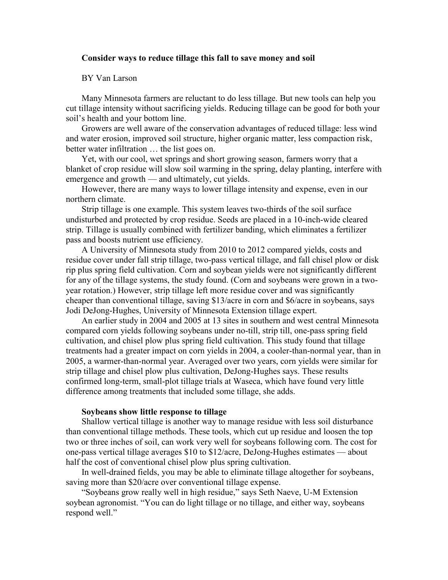# **Consider ways to reduce tillage this fall to save money and soil**

# BY Van Larson

Many Minnesota farmers are reluctant to do less tillage. But new tools can help you cut tillage intensity without sacrificing yields. Reducing tillage can be good for both your soil's health and your bottom line.

Growers are well aware of the conservation advantages of reduced tillage: less wind and water erosion, improved soil structure, higher organic matter, less compaction risk, better water infiltration … the list goes on.

Yet, with our cool, wet springs and short growing season, farmers worry that a blanket of crop residue will slow soil warming in the spring, delay planting, interfere with emergence and growth — and ultimately, cut yields.

However, there are many ways to lower tillage intensity and expense, even in our northern climate.

Strip tillage is one example. This system leaves two-thirds of the soil surface undisturbed and protected by crop residue. Seeds are placed in a 10-inch-wide cleared strip. Tillage is usually combined with fertilizer banding, which eliminates a fertilizer pass and boosts nutrient use efficiency.

A University of Minnesota study from 2010 to 2012 compared yields, costs and residue cover under fall strip tillage, two-pass vertical tillage, and fall chisel plow or disk rip plus spring field cultivation. Corn and soybean yields were not significantly different for any of the tillage systems, the study found. (Corn and soybeans were grown in a twoyear rotation.) However, strip tillage left more residue cover and was significantly cheaper than conventional tillage, saving \$13/acre in corn and \$6/acre in soybeans, says Jodi DeJong-Hughes, University of Minnesota Extension tillage expert.

An earlier study in 2004 and 2005 at 13 sites in southern and west central Minnesota compared corn yields following soybeans under no-till, strip till, one-pass spring field cultivation, and chisel plow plus spring field cultivation. This study found that tillage treatments had a greater impact on corn yields in 2004, a cooler-than-normal year, than in 2005, a warmer-than-normal year. Averaged over two years, corn yields were similar for strip tillage and chisel plow plus cultivation, DeJong-Hughes says. These results confirmed long-term, small-plot tillage trials at Waseca, which have found very little difference among treatments that included some tillage, she adds.

#### **Soybeans show little response to tillage**

Shallow vertical tillage is another way to manage residue with less soil disturbance than conventional tillage methods. These tools, which cut up residue and loosen the top two or three inches of soil, can work very well for soybeans following corn. The cost for one-pass vertical tillage averages \$10 to \$12/acre, DeJong-Hughes estimates — about half the cost of conventional chisel plow plus spring cultivation.

In well-drained fields, you may be able to eliminate tillage altogether for soybeans, saving more than \$20/acre over conventional tillage expense.

"Soybeans grow really well in high residue," says Seth Naeve, U-M Extension soybean agronomist. "You can do light tillage or no tillage, and either way, soybeans respond well."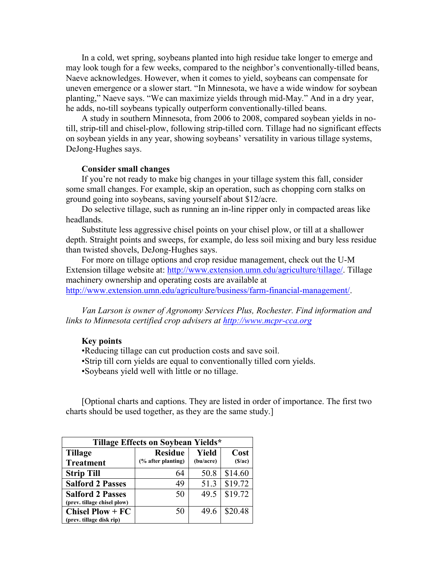In a cold, wet spring, soybeans planted into high residue take longer to emerge and may look tough for a few weeks, compared to the neighbor's conventionally-tilled beans, Naeve acknowledges. However, when it comes to yield, soybeans can compensate for uneven emergence or a slower start. "In Minnesota, we have a wide window for soybean planting," Naeve says. "We can maximize yields through mid-May." And in a dry year, he adds, no-till soybeans typically outperform conventionally-tilled beans.

A study in southern Minnesota, from 2006 to 2008, compared soybean yields in notill, strip-till and chisel-plow, following strip-tilled corn. Tillage had no significant effects on soybean yields in any year, showing soybeans' versatility in various tillage systems, DeJong-Hughes says.

## **Consider small changes**

If you're not ready to make big changes in your tillage system this fall, consider some small changes. For example, skip an operation, such as chopping corn stalks on ground going into soybeans, saving yourself about \$12/acre.

Do selective tillage, such as running an in-line ripper only in compacted areas like headlands.

Substitute less aggressive chisel points on your chisel plow, or till at a shallower depth. Straight points and sweeps, for example, do less soil mixing and bury less residue than twisted shovels, DeJong-Hughes says.

For more on tillage options and crop residue management, check out the U-M Extension tillage website at: [http://www.extension.umn.edu/agriculture/tillage/.](http://www.extension.umn.edu/agriculture/tillage/) Tillage machinery ownership and operating costs are available at [http://www.extension.umn.edu/agriculture/business/farm-financial-management/.](http://www.extension.umn.edu/agriculture/business/farm-financial-management/)

*Van Larson is owner of Agronomy Services Plus, Rochester. Find information and links to Minnesota certified crop advisers at [http://www.mcpr-cca.org](http://www.mcpr-cca.org/)*

## **Key points**

- •Reducing tillage can cut production costs and save soil.
- •Strip till corn yields are equal to conventionally tilled corn yields.
- •Soybeans yield well with little or no tillage.

[Optional charts and captions. They are listed in order of importance. The first two charts should be used together, as they are the same study.]

| Tillage Effects on Soybean Yields*                     |                    |           |         |  |  |
|--------------------------------------------------------|--------------------|-----------|---------|--|--|
| <b>Tillage</b>                                         | <b>Residue</b>     | Yield     | Cost    |  |  |
| <b>Treatment</b>                                       | (% after planting) | (bu/acre) | (S/ac)  |  |  |
| <b>Strip Till</b>                                      | 64                 | 50.8      | \$14.60 |  |  |
| <b>Salford 2 Passes</b>                                | 49                 | 51.3      | \$19.72 |  |  |
| <b>Salford 2 Passes</b><br>(prev. tillage chisel plow) | 50                 | 49.5      | \$19.72 |  |  |
| <b>Chisel Plow + <math>FC</math></b>                   | 50                 | 49.6      | \$20.48 |  |  |
| (prev. tillage disk rip)                               |                    |           |         |  |  |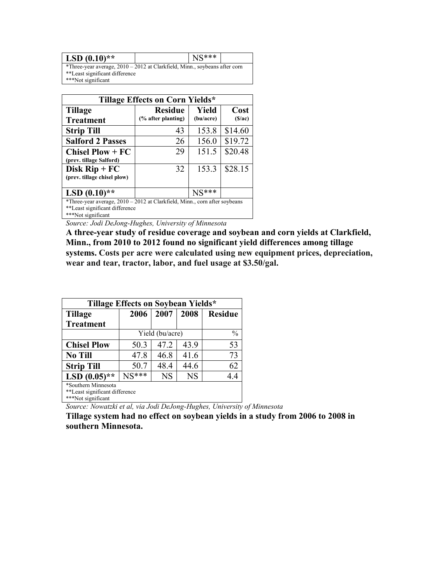| $LSD(0.10)**$                                                                |  | $NS***$ |  |
|------------------------------------------------------------------------------|--|---------|--|
| *Three-year average, $2010 - 2012$ at Clarkfield, Minn., soybeans after corn |  |         |  |
| **Least significant difference                                               |  |         |  |
| ***Not significant                                                           |  |         |  |

| Tillage Effects on Corn Yields*                                                                                             |                                      |                    |                |  |  |
|-----------------------------------------------------------------------------------------------------------------------------|--------------------------------------|--------------------|----------------|--|--|
| <b>Tillage</b><br><b>Treatment</b>                                                                                          | <b>Residue</b><br>(% after planting) | Yield<br>(bu/acre) | Cost<br>(S/ac) |  |  |
| <b>Strip Till</b>                                                                                                           | 43                                   | 153.8              | \$14.60        |  |  |
| <b>Salford 2 Passes</b>                                                                                                     | 26                                   | 156.0              | \$19.72        |  |  |
| <b>Chisel Plow + <math>FC</math></b><br>(prev. tillage Salford)                                                             | 29                                   | 151.5              | \$20.48        |  |  |
| Disk $\text{Rip} + \text{FC}$<br>(prev. tillage chisel plow)                                                                | 32                                   | 153.3              | \$28.15        |  |  |
| LSD $(0.10)$ **                                                                                                             |                                      | $NS***$            |                |  |  |
| *Three-year average, 2010 - 2012 at Clarkfield, Minn., corn after soybeans<br>$x x T - 1 - 1 - 1 - 1 T - 1 T T - 1 T T - 1$ |                                      |                    |                |  |  |

Least significant difference \*\*\*Not significant

*Source: Jodi DeJong-Hughes, University of Minnesota*

**A three-year study of residue coverage and soybean and corn yields at Clarkfield, Minn., from 2010 to 2012 found no significant yield differences among tillage systems. Costs per acre were calculated using new equipment prices, depreciation, wear and tear, tractor, labor, and fuel usage at \$3.50/gal.**

| Tillage Effects on Soybean Yields* |                 |           |           |                |  |
|------------------------------------|-----------------|-----------|-----------|----------------|--|
| Tillage                            | 2006            | 2007      | 2008      | <b>Residue</b> |  |
| <b>Treatment</b>                   |                 |           |           |                |  |
|                                    | Yield (bu/acre) |           |           | $\frac{0}{0}$  |  |
| <b>Chisel Plow</b>                 | 50.3            | 47.2      | 43.9      | 53             |  |
| <b>No Till</b>                     | 47.8            | 46.8      | 41.6      | 73             |  |
| <b>Strip Till</b>                  | 50.7            | 48.4      | 44.6      | 62             |  |
| LSD $(0.05)$ **                    | $NS***$         | <b>NS</b> | <b>NS</b> | 4.4            |  |
| *Southern Minnesota                |                 |           |           |                |  |
| **Least significant difference     |                 |           |           |                |  |
| ***Not significant                 |                 |           |           |                |  |

*Source: Nowatzki et al, via Jodi DeJong-Hughes, University of Minnesota*

**Tillage system had no effect on soybean yields in a study from 2006 to 2008 in southern Minnesota.**